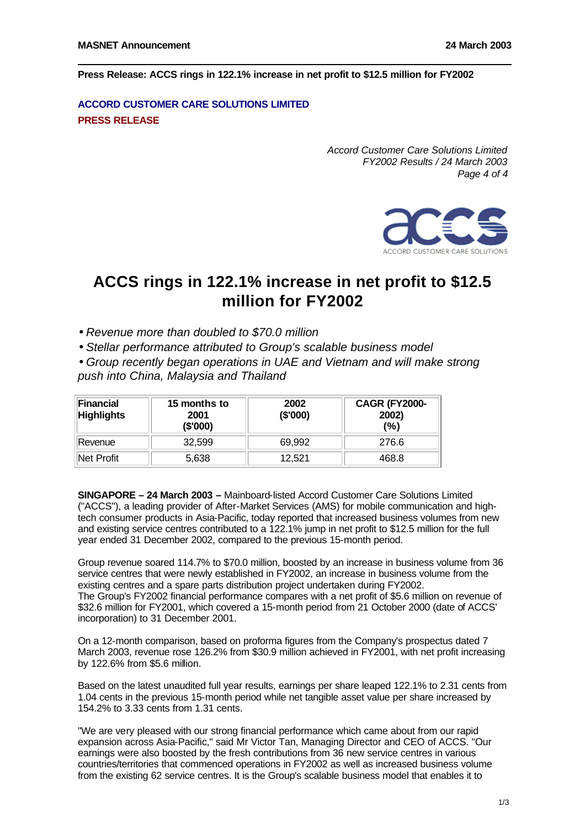**Press Release: ACCS rings in 122.1% increase in net profit to \$12.5 million for FY2002**

## **ACCORD CUSTOMER CARE SOLUTIONS LIMITED PRESS RELEASE**

*Accord Customer Care Solutions Limited FY2002 Results / 24 March 2003 Page 4 of 4*



# **ACCS rings in 122.1% increase in net profit to \$12.5 million for FY2002**

- *Revenue more than doubled to \$70.0 million*
- *Stellar performance attributed to Group's scalable business model*

• *Group recently began operations in UAE and Vietnam and will make strong push into China, Malaysia and Thailand*

| Financial<br><b>Highlights</b> | 15 months to<br>2001<br>(\$'000) | 2002<br>(\$'000) | <b>CAGR (FY2000-</b><br>2002)<br>(%) |
|--------------------------------|----------------------------------|------------------|--------------------------------------|
| Revenue                        | 32.599                           | 69.992           | 276.6                                |
| Net Profit                     | 5,638                            | 12.521           | 468.8                                |

**SINGAPORE – 24 March 2003 –**Mainboard-listed Accord Customer Care Solutions Limited ("ACCS"), a leading provider of After-Market Services (AMS) for mobile communication and hightech consumer products in Asia-Pacific, today reported that increased business volumes from new and existing service centres contributed to a 122.1% jump in net profit to \$12.5 million for the full year ended 31 December 2002, compared to the previous 15-month period.

Group revenue soared 114.7% to \$70.0 million, boosted by an increase in business volume from 36 service centres that were newly established in FY2002, an increase in business volume from the existing centres and a spare parts distribution project undertaken during FY2002. The Group's FY2002 financial performance compares with a net profit of \$5.6 million on revenue of \$32.6 million for FY2001, which covered a 15-month period from 21 October 2000 (date of ACCS' incorporation) to 31 December 2001.

On a 12-month comparison, based on proforma figures from the Company's prospectus dated 7 March 2003, revenue rose 126.2% from \$30.9 million achieved in FY2001, with net profit increasing by 122.6% from \$5.6 million.

Based on the latest unaudited full year results, earnings per share leaped 122.1% to 2.31 cents from 1.04 cents in the previous 15-month period while net tangible asset value per share increased by 154.2% to 3.33 cents from 1.31 cents.

"We are very pleased with our strong financial performance which came about from our rapid expansion across Asia-Pacific," said Mr Victor Tan, Managing Director and CEO of ACCS. "Our earnings were also boosted by the fresh contributions from 36 new service centres in various countries/territories that commenced operations in FY2002 as well as increased business volume from the existing 62 service centres. It is the Group's scalable business model that enables it to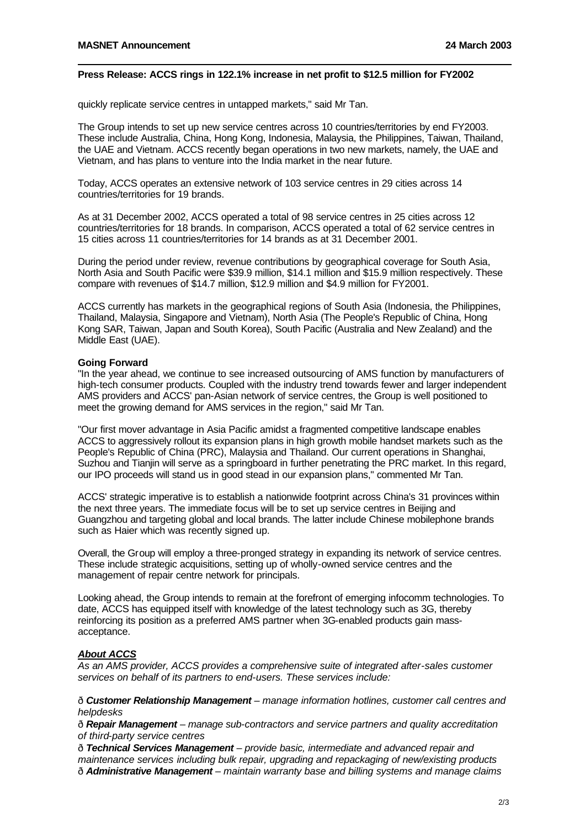#### **Press Release: ACCS rings in 122.1% increase in net profit to \$12.5 million for FY2002**

quickly replicate service centres in untapped markets," said Mr Tan.

The Group intends to set up new service centres across 10 countries/territories by end FY2003. These include Australia, China, Hong Kong, Indonesia, Malaysia, the Philippines, Taiwan, Thailand, the UAE and Vietnam. ACCS recently began operations in two new markets, namely, the UAE and Vietnam, and has plans to venture into the India market in the near future.

Today, ACCS operates an extensive network of 103 service centres in 29 cities across 14 countries/territories for 19 brands.

As at 31 December 2002, ACCS operated a total of 98 service centres in 25 cities across 12 countries/territories for 18 brands. In comparison, ACCS operated a total of 62 service centres in 15 cities across 11 countries/territories for 14 brands as at 31 December 2001.

During the period under review, revenue contributions by geographical coverage for South Asia, North Asia and South Pacific were \$39.9 million, \$14.1 million and \$15.9 million respectively. These compare with revenues of \$14.7 million, \$12.9 million and \$4.9 million for FY2001.

ACCS currently has markets in the geographical regions of South Asia (Indonesia, the Philippines, Thailand, Malaysia, Singapore and Vietnam), North Asia (The People's Republic of China, Hong Kong SAR, Taiwan, Japan and South Korea), South Pacific (Australia and New Zealand) and the Middle East (UAE).

#### **Going Forward**

"In the year ahead, we continue to see increased outsourcing of AMS function by manufacturers of high-tech consumer products. Coupled with the industry trend towards fewer and larger independent AMS providers and ACCS' pan-Asian network of service centres, the Group is well positioned to meet the growing demand for AMS services in the region," said Mr Tan.

"Our first mover advantage in Asia Pacific amidst a fragmented competitive landscape enables ACCS to aggressively rollout its expansion plans in high growth mobile handset markets such as the People's Republic of China (PRC), Malaysia and Thailand. Our current operations in Shanghai, Suzhou and Tianjin will serve as a springboard in further penetrating the PRC market. In this regard, our IPO proceeds will stand us in good stead in our expansion plans," commented Mr Tan.

ACCS' strategic imperative is to establish a nationwide footprint across China's 31 provinces within the next three years. The immediate focus will be to set up service centres in Beijing and Guangzhou and targeting global and local brands. The latter include Chinese mobilephone brands such as Haier which was recently signed up.

Overall, the Group will employ a three-pronged strategy in expanding its network of service centres. These include strategic acquisitions, setting up of wholly-owned service centres and the management of repair centre network for principals.

Looking ahead, the Group intends to remain at the forefront of emerging infocomm technologies. To date, ACCS has equipped itself with knowledge of the latest technology such as 3G, thereby reinforcing its position as a preferred AMS partner when 3G-enabled products gain massacceptance.

### *About ACCS*

*As an AMS provider, ACCS provides a comprehensive suite of integrated after-sales customer services on behalf of its partners to end-users. These services include:*

ð*Customer Relationship Management – manage information hotlines, customer call centres and helpdesks*

ð*Repair Management – manage sub-contractors and service partners and quality accreditation of third-party service centres*

ð*Technical Services Management – provide basic, intermediate and advanced repair and maintenance services including bulk repair, upgrading and repackaging of new/existing products* ð*Administrative Management – maintain warranty base and billing systems and manage claims*